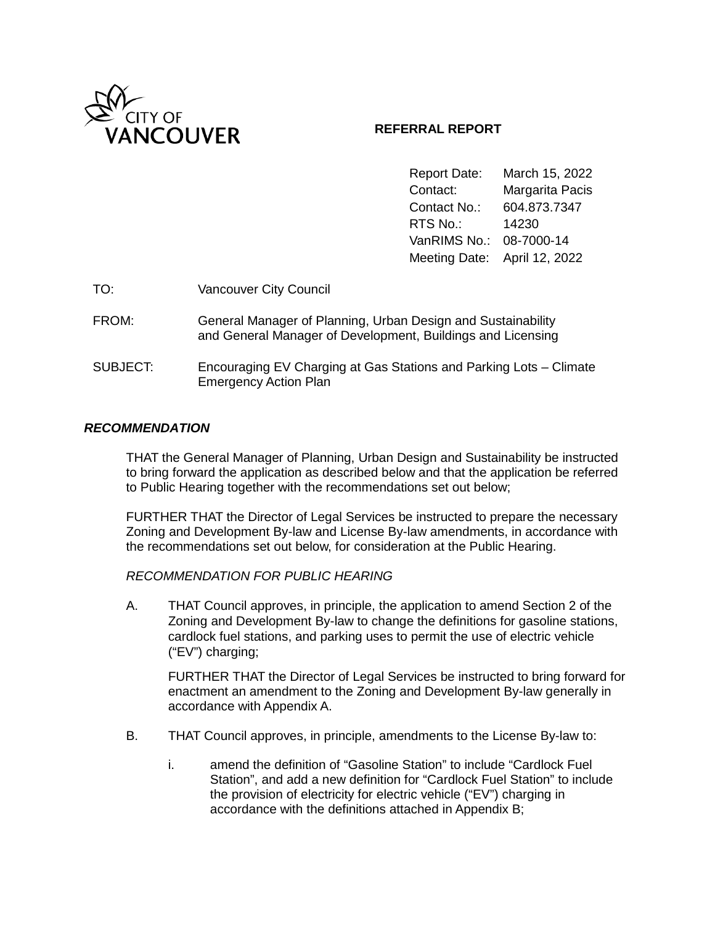

### **REFERRAL REPORT**

Report Date: March 15, 2022 Contact: Margarita Pacis Contact No.: 604.873.7347 RTS No.: 14230 VanRIMS No.: 08-7000-14 Meeting Date: April 12, 2022

| TO:      | Vancouver City Council                                                                                                      |
|----------|-----------------------------------------------------------------------------------------------------------------------------|
| FROM:    | General Manager of Planning, Urban Design and Sustainability<br>and General Manager of Development, Buildings and Licensing |
| SUBJECT: | Encouraging EV Charging at Gas Stations and Parking Lots – Climate<br><b>Emergency Action Plan</b>                          |

### *RECOMMENDATION*

THAT the General Manager of Planning, Urban Design and Sustainability be instructed to bring forward the application as described below and that the application be referred to Public Hearing together with the recommendations set out below;

FURTHER THAT the Director of Legal Services be instructed to prepare the necessary Zoning and Development By-law and License By-law amendments, in accordance with the recommendations set out below, for consideration at the Public Hearing.

### *RECOMMENDATION FOR PUBLIC HEARING*

A. THAT Council approves, in principle, the application to amend Section 2 of the Zoning and Development By-law to change the definitions for gasoline stations, cardlock fuel stations, and parking uses to permit the use of electric vehicle ("EV") charging;

FURTHER THAT the Director of Legal Services be instructed to bring forward for enactment an amendment to the Zoning and Development By-law generally in accordance with Appendix A.

- B. THAT Council approves, in principle, amendments to the License By-law to:
	- i. amend the definition of "Gasoline Station" to include "Cardlock Fuel Station", and add a new definition for "Cardlock Fuel Station" to include the provision of electricity for electric vehicle ("EV") charging in accordance with the definitions attached in Appendix B;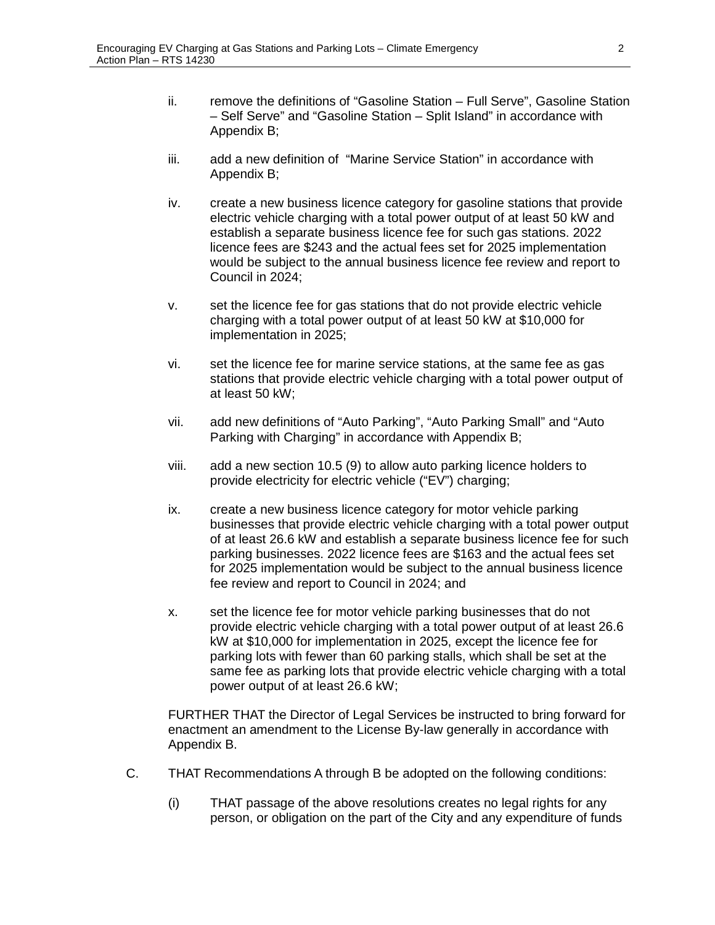- ii. remove the definitions of "Gasoline Station Full Serve", Gasoline Station – Self Serve" and "Gasoline Station – Split Island" in accordance with Appendix B;
- iii. add a new definition of "Marine Service Station" in accordance with Appendix B;
- iv. create a new business licence category for gasoline stations that provide electric vehicle charging with a total power output of at least 50 kW and establish a separate business licence fee for such gas stations. 2022 licence fees are \$243 and the actual fees set for 2025 implementation would be subject to the annual business licence fee review and report to Council in 2024;
- v. set the licence fee for gas stations that do not provide electric vehicle charging with a total power output of at least 50 kW at \$10,000 for implementation in 2025;
- vi. set the licence fee for marine service stations, at the same fee as gas stations that provide electric vehicle charging with a total power output of at least 50 kW;
- vii. add new definitions of "Auto Parking", "Auto Parking Small" and "Auto Parking with Charging" in accordance with Appendix B;
- viii. add a new section 10.5 (9) to allow auto parking licence holders to provide electricity for electric vehicle ("EV") charging;
- ix. create a new business licence category for motor vehicle parking businesses that provide electric vehicle charging with a total power output of at least 26.6 kW and establish a separate business licence fee for such parking businesses. 2022 licence fees are \$163 and the actual fees set for 2025 implementation would be subject to the annual business licence fee review and report to Council in 2024; and
- x. set the licence fee for motor vehicle parking businesses that do not provide electric vehicle charging with a total power output of at least 26.6 kW at \$10,000 for implementation in 2025, except the licence fee for parking lots with fewer than 60 parking stalls, which shall be set at the same fee as parking lots that provide electric vehicle charging with a total power output of at least 26.6 kW;

FURTHER THAT the Director of Legal Services be instructed to bring forward for enactment an amendment to the License By-law generally in accordance with Appendix B.

- C. THAT Recommendations A through B be adopted on the following conditions:
	- (i) THAT passage of the above resolutions creates no legal rights for any person, or obligation on the part of the City and any expenditure of funds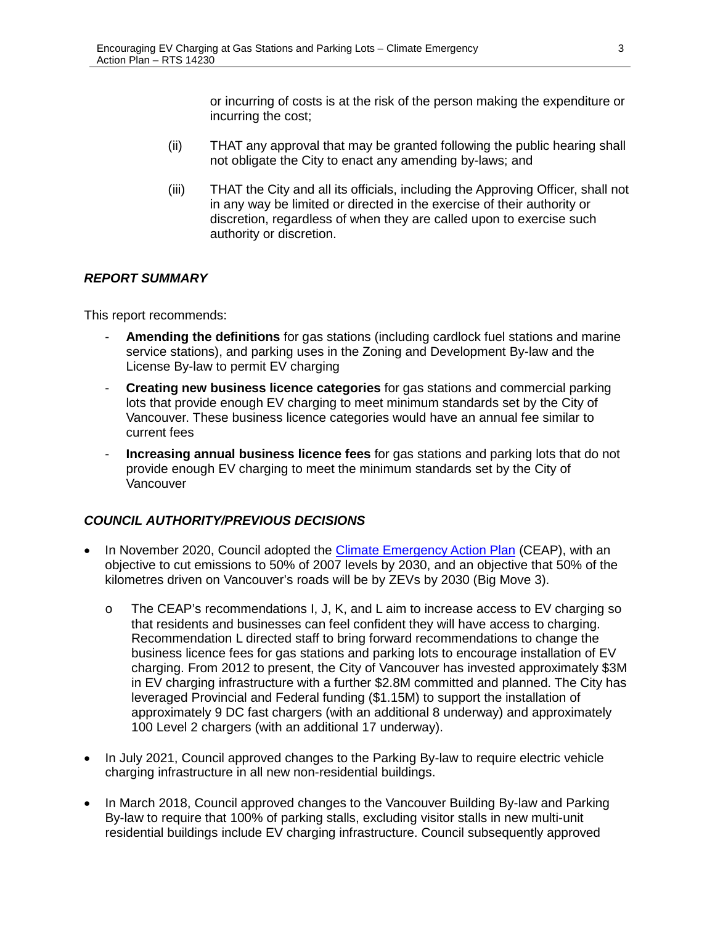or incurring of costs is at the risk of the person making the expenditure or incurring the cost;

- (ii) THAT any approval that may be granted following the public hearing shall not obligate the City to enact any amending by-laws; and
- (iii) THAT the City and all its officials, including the Approving Officer, shall not in any way be limited or directed in the exercise of their authority or discretion, regardless of when they are called upon to exercise such authority or discretion.

### *REPORT SUMMARY*

This report recommends:

- **Amending the definitions** for gas stations (including cardlock fuel stations and marine service stations), and parking uses in the Zoning and Development By-law and the License By-law to permit EV charging
- **Creating new business licence categories** for gas stations and commercial parking lots that provide enough EV charging to meet minimum standards set by the City of Vancouver. These business licence categories would have an annual fee similar to current fees
- **Increasing annual business licence fees** for gas stations and parking lots that do not provide enough EV charging to meet the minimum standards set by the City of Vancouver

## *COUNCIL AUTHORITY/PREVIOUS DECISIONS*

- In November 2020, Council adopted the *Climate Emergency Action Plan* (CEAP), with an objective to cut emissions to 50% of 2007 levels by 2030, and an objective that 50% of the kilometres driven on Vancouver's roads will be by ZEVs by 2030 (Big Move 3).
	- o The CEAP's recommendations I, J, K, and L aim to increase access to EV charging so that residents and businesses can feel confident they will have access to charging. Recommendation L directed staff to bring forward recommendations to change the business licence fees for gas stations and parking lots to encourage installation of EV charging. From 2012 to present, the City of Vancouver has invested approximately \$3M in EV charging infrastructure with a further \$2.8M committed and planned. The City has leveraged Provincial and Federal funding (\$1.15M) to support the installation of approximately 9 DC fast chargers (with an additional 8 underway) and approximately 100 Level 2 chargers (with an additional 17 underway).
- In July 2021, Council approved changes to the Parking By-law to require electric vehicle charging infrastructure in all new non-residential buildings.
- In March 2018, Council approved changes to the Vancouver Building By-law and Parking By-law to require that 100% of parking stalls, excluding visitor stalls in new multi-unit residential buildings include EV charging infrastructure. Council subsequently approved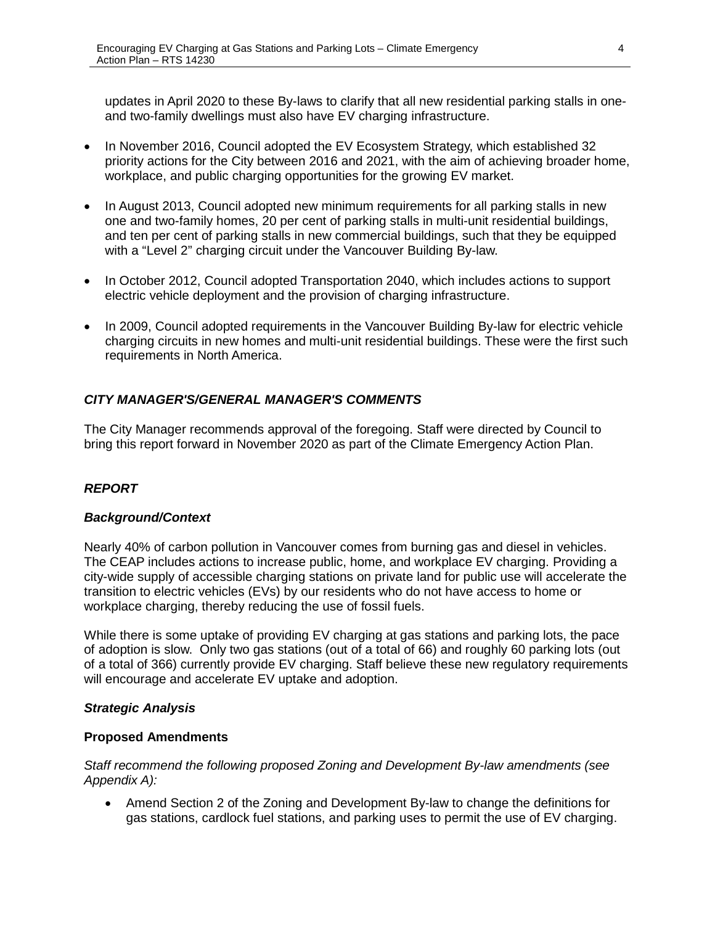updates in April 2020 to these By-laws to clarify that all new residential parking stalls in oneand two-family dwellings must also have EV charging infrastructure.

- In November 2016, Council adopted the EV Ecosystem Strategy, which established 32 priority actions for the City between 2016 and 2021, with the aim of achieving broader home, workplace, and public charging opportunities for the growing EV market.
- In August 2013, Council adopted new minimum requirements for all parking stalls in new one and two-family homes, 20 per cent of parking stalls in multi-unit residential buildings, and ten per cent of parking stalls in new commercial buildings, such that they be equipped with a "Level 2" charging circuit under the Vancouver Building By-law.
- In October 2012, Council adopted Transportation 2040, which includes actions to support electric vehicle deployment and the provision of charging infrastructure.
- In 2009, Council adopted requirements in the Vancouver Building By-law for electric vehicle charging circuits in new homes and multi-unit residential buildings. These were the first such requirements in North America.

## *CITY MANAGER'S/GENERAL MANAGER'S COMMENTS*

The City Manager recommends approval of the foregoing. Staff were directed by Council to bring this report forward in November 2020 as part of the Climate Emergency Action Plan.

## *REPORT*

### *Background/Context*

Nearly 40% of carbon pollution in Vancouver comes from burning gas and diesel in vehicles. The CEAP includes actions to increase public, home, and workplace EV charging. Providing a city-wide supply of accessible charging stations on private land for public use will accelerate the transition to electric vehicles (EVs) by our residents who do not have access to home or workplace charging, thereby reducing the use of fossil fuels.

While there is some uptake of providing EV charging at gas stations and parking lots, the pace of adoption is slow. Only two gas stations (out of a total of 66) and roughly 60 parking lots (out of a total of 366) currently provide EV charging. Staff believe these new regulatory requirements will encourage and accelerate EV uptake and adoption.

### *Strategic Analysis*

### **Proposed Amendments**

*Staff recommend the following proposed Zoning and Development By-law amendments (see Appendix A):*

• Amend Section 2 of the Zoning and Development By-law to change the definitions for gas stations, cardlock fuel stations, and parking uses to permit the use of EV charging.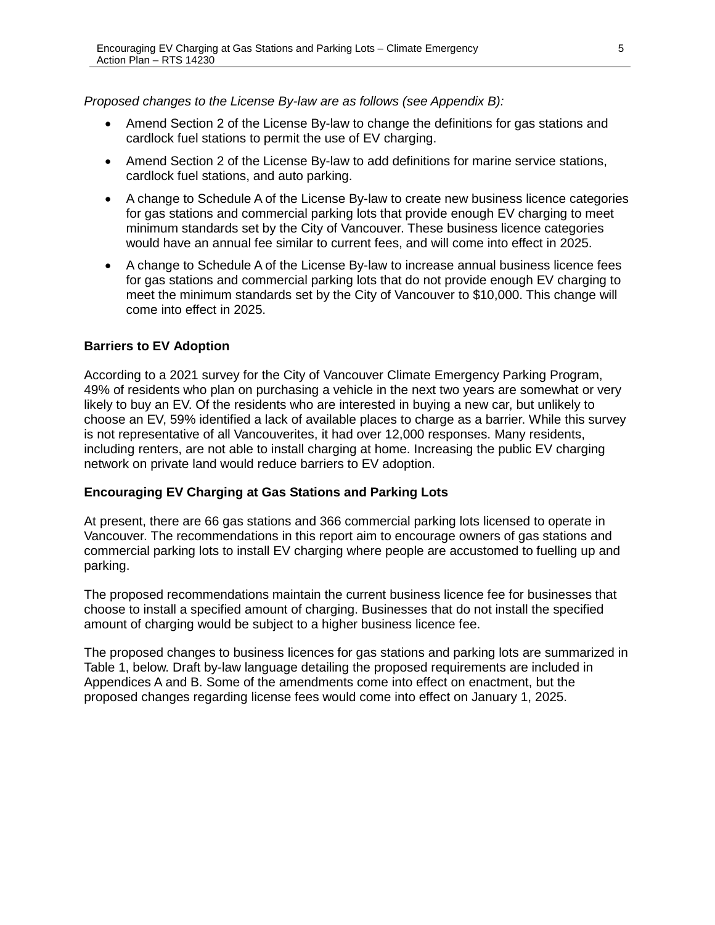*Proposed changes to the License By-law are as follows (see Appendix B):*

- Amend Section 2 of the License By-law to change the definitions for gas stations and cardlock fuel stations to permit the use of EV charging.
- Amend Section 2 of the License By-law to add definitions for marine service stations, cardlock fuel stations, and auto parking.
- A change to Schedule A of the License By-law to create new business licence categories for gas stations and commercial parking lots that provide enough EV charging to meet minimum standards set by the City of Vancouver. These business licence categories would have an annual fee similar to current fees, and will come into effect in 2025.
- A change to Schedule A of the License By-law to increase annual business licence fees for gas stations and commercial parking lots that do not provide enough EV charging to meet the minimum standards set by the City of Vancouver to \$10,000. This change will come into effect in 2025.

### **Barriers to EV Adoption**

According to a 2021 survey for the City of Vancouver Climate Emergency Parking Program, 49% of residents who plan on purchasing a vehicle in the next two years are somewhat or very likely to buy an EV. Of the residents who are interested in buying a new car, but unlikely to choose an EV, 59% identified a lack of available places to charge as a barrier. While this survey is not representative of all Vancouverites, it had over 12,000 responses. Many residents, including renters, are not able to install charging at home. Increasing the public EV charging network on private land would reduce barriers to EV adoption.

### **Encouraging EV Charging at Gas Stations and Parking Lots**

At present, there are 66 gas stations and 366 commercial parking lots licensed to operate in Vancouver. The recommendations in this report aim to encourage owners of gas stations and commercial parking lots to install EV charging where people are accustomed to fuelling up and parking.

The proposed recommendations maintain the current business licence fee for businesses that choose to install a specified amount of charging. Businesses that do not install the specified amount of charging would be subject to a higher business licence fee.

The proposed changes to business licences for gas stations and parking lots are summarized in Table 1, below. Draft by-law language detailing the proposed requirements are included in Appendices A and B. Some of the amendments come into effect on enactment, but the proposed changes regarding license fees would come into effect on January 1, 2025.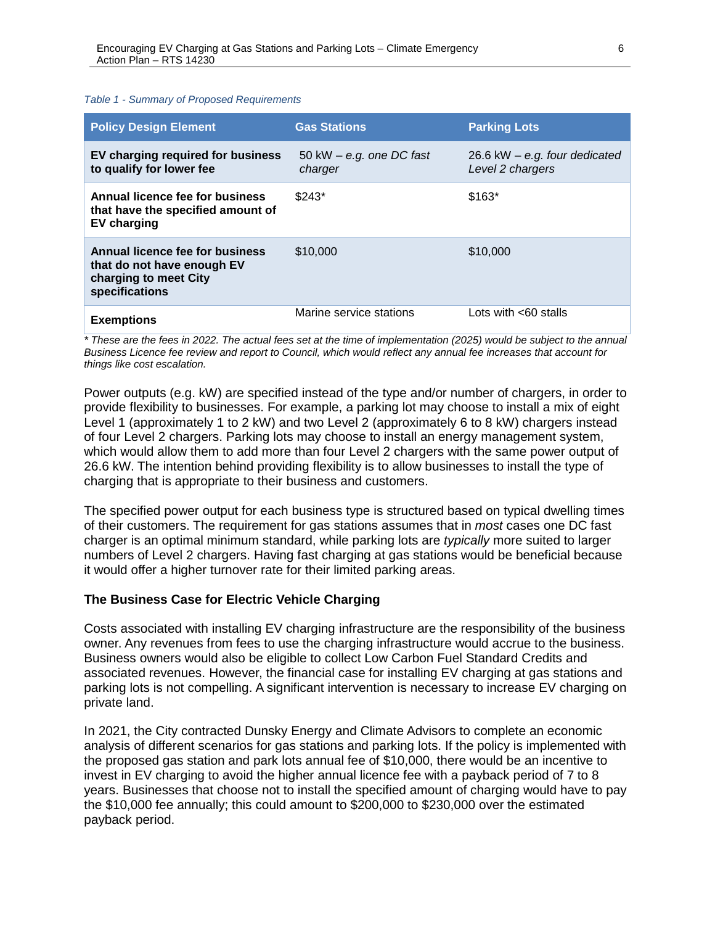#### *Table 1 - Summary of Proposed Requirements*

| <b>Policy Design Element</b>                                                                             | <b>Gas Stations</b>                   | <b>Parking Lots</b>                                 |
|----------------------------------------------------------------------------------------------------------|---------------------------------------|-----------------------------------------------------|
| EV charging required for business<br>to qualify for lower fee                                            | 50 kW $-$ e.g. one DC fast<br>charger | 26.6 kW $-$ e.g. four dedicated<br>Level 2 chargers |
| Annual licence fee for business<br>that have the specified amount of<br><b>EV</b> charging               | $$243*$                               | $$163*$                                             |
| Annual licence fee for business<br>that do not have enough EV<br>charging to meet City<br>specifications | \$10,000                              | \$10,000                                            |
| <b>Exemptions</b>                                                                                        | Marine service stations               | Lots with $<60$ stalls                              |

*\* These are the fees in 2022. The actual fees set at the time of implementation (2025) would be subject to the annual Business Licence fee review and report to Council, which would reflect any annual fee increases that account for things like cost escalation.* 

Power outputs (e.g. kW) are specified instead of the type and/or number of chargers, in order to provide flexibility to businesses. For example, a parking lot may choose to install a mix of eight Level 1 (approximately 1 to 2 kW) and two Level 2 (approximately 6 to 8 kW) chargers instead of four Level 2 chargers. Parking lots may choose to install an energy management system, which would allow them to add more than four Level 2 chargers with the same power output of 26.6 kW. The intention behind providing flexibility is to allow businesses to install the type of charging that is appropriate to their business and customers.

The specified power output for each business type is structured based on typical dwelling times of their customers. The requirement for gas stations assumes that in *most* cases one DC fast charger is an optimal minimum standard, while parking lots are *typically* more suited to larger numbers of Level 2 chargers. Having fast charging at gas stations would be beneficial because it would offer a higher turnover rate for their limited parking areas.

### **The Business Case for Electric Vehicle Charging**

Costs associated with installing EV charging infrastructure are the responsibility of the business owner. Any revenues from fees to use the charging infrastructure would accrue to the business. Business owners would also be eligible to collect Low Carbon Fuel Standard Credits and associated revenues. However, the financial case for installing EV charging at gas stations and parking lots is not compelling. A significant intervention is necessary to increase EV charging on private land.

In 2021, the City contracted Dunsky Energy and Climate Advisors to complete an economic analysis of different scenarios for gas stations and parking lots. If the policy is implemented with the proposed gas station and park lots annual fee of \$10,000, there would be an incentive to invest in EV charging to avoid the higher annual licence fee with a payback period of 7 to 8 years. Businesses that choose not to install the specified amount of charging would have to pay the \$10,000 fee annually; this could amount to \$200,000 to \$230,000 over the estimated payback period.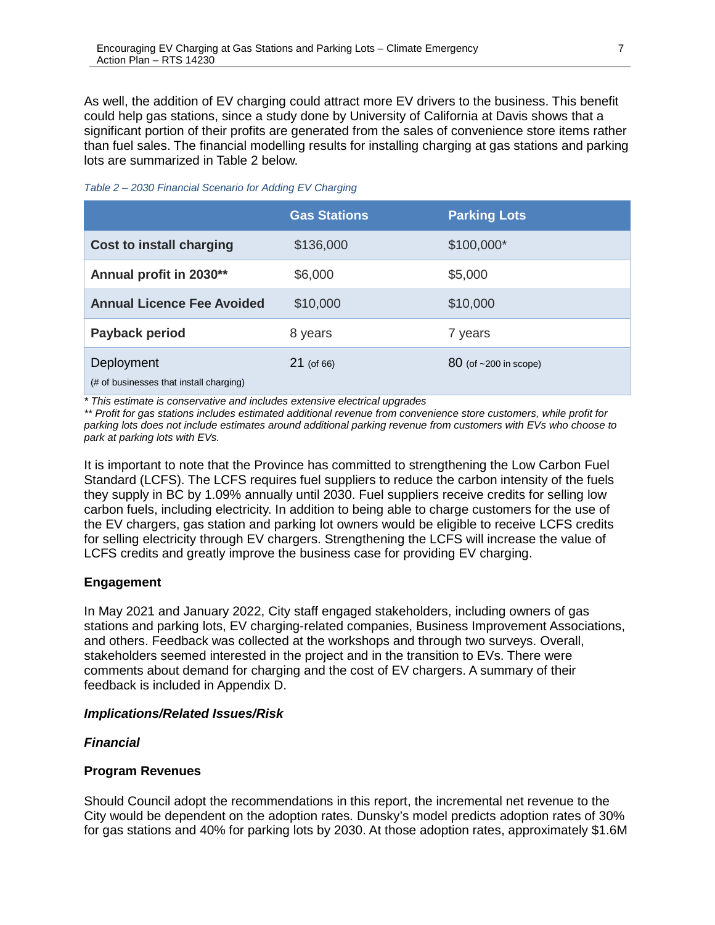As well, the addition of EV charging could attract more EV drivers to the business. This benefit could help gas stations, since a study done by University of California at Davis shows that a significant portion of their profits are generated from the sales of convenience store items rather than fuel sales. The financial modelling results for installing charging at gas stations and parking lots are summarized in Table 2 below.

| Table 2 - 2030 Financial Scenario for Adding EV Charging |  |  |  |
|----------------------------------------------------------|--|--|--|
|----------------------------------------------------------|--|--|--|

|                                                       | <b>Gas Stations</b> | <b>Parking Lots</b>       |
|-------------------------------------------------------|---------------------|---------------------------|
| <b>Cost to install charging</b>                       | \$136,000           | \$100,000*                |
| Annual profit in 2030**                               | \$6,000             | \$5,000                   |
| <b>Annual Licence Fee Avoided</b>                     | \$10,000            | \$10,000                  |
| Payback period                                        | 8 years             | 7 years                   |
| Deployment<br>(# of businesses that install charging) | $21$ (of 66)        | $80$ (of $~200$ in scope) |

*\* This estimate is conservative and includes extensive electrical upgrades*

*\*\* Profit for gas stations includes estimated additional revenue from convenience store customers, while profit for parking lots does not include estimates around additional parking revenue from customers with EVs who choose to park at parking lots with EVs.*

It is important to note that the Province has committed to strengthening the Low Carbon Fuel Standard (LCFS). The LCFS requires fuel suppliers to reduce the carbon intensity of the fuels they supply in BC by 1.09% annually until 2030. Fuel suppliers receive credits for selling low carbon fuels, including electricity. In addition to being able to charge customers for the use of the EV chargers, gas station and parking lot owners would be eligible to receive LCFS credits for selling electricity through EV chargers. Strengthening the LCFS will increase the value of LCFS credits and greatly improve the business case for providing EV charging.

## **Engagement**

In May 2021 and January 2022, City staff engaged stakeholders, including owners of gas stations and parking lots, EV charging-related companies, Business Improvement Associations, and others. Feedback was collected at the workshops and through two surveys. Overall, stakeholders seemed interested in the project and in the transition to EVs. There were comments about demand for charging and the cost of EV chargers. A summary of their feedback is included in Appendix D.

### *Implications/Related Issues/Risk*

### *Financial*

### **Program Revenues**

Should Council adopt the recommendations in this report, the incremental net revenue to the City would be dependent on the adoption rates. Dunsky's model predicts adoption rates of 30% for gas stations and 40% for parking lots by 2030. At those adoption rates, approximately \$1.6M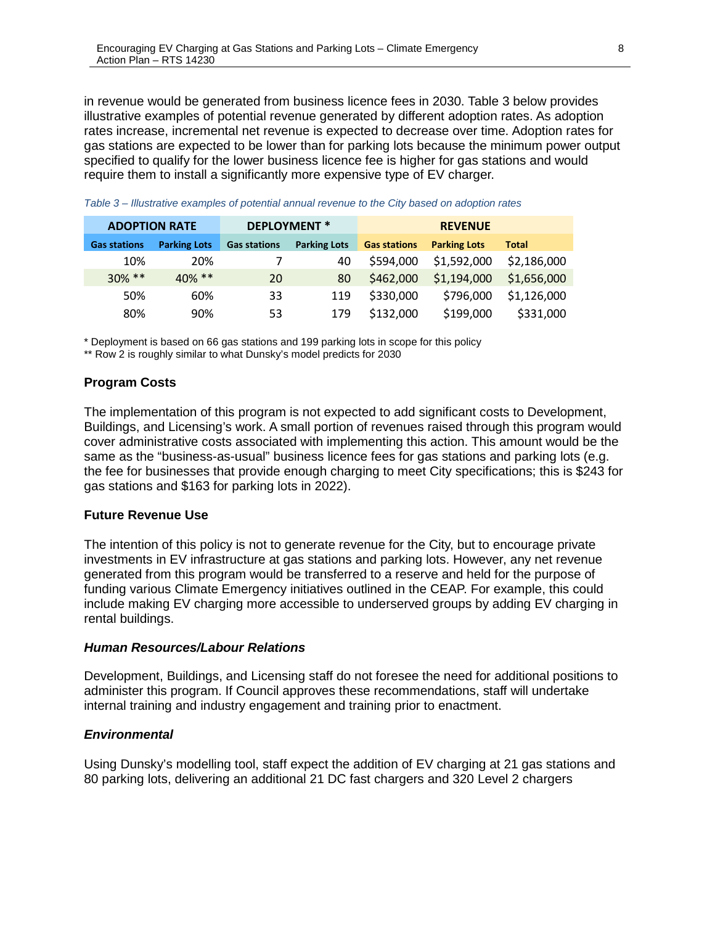in revenue would be generated from business licence fees in 2030. Table 3 below provides illustrative examples of potential revenue generated by different adoption rates. As adoption rates increase, incremental net revenue is expected to decrease over time. Adoption rates for gas stations are expected to be lower than for parking lots because the minimum power output specified to qualify for the lower business licence fee is higher for gas stations and would require them to install a significantly more expensive type of EV charger.

| <b>ADOPTION RATE</b> |                     |                     | <b>DEPLOYMENT*</b>  |                     | <b>REVENUE</b>      |              |
|----------------------|---------------------|---------------------|---------------------|---------------------|---------------------|--------------|
| <b>Gas stations</b>  | <b>Parking Lots</b> | <b>Gas stations</b> | <b>Parking Lots</b> | <b>Gas stations</b> | <b>Parking Lots</b> | <b>Total</b> |
| 10%                  | 20%                 |                     | 40                  | \$594,000           | \$1,592,000         | \$2,186,000  |
| $30\%$ **            | $40\%$ **           | 20                  | 80                  | \$462,000           | \$1,194,000         | \$1,656,000  |
| 50%                  | 60%                 | 33                  | 119                 | \$330,000           | \$796,000           | \$1,126,000  |
| 80%                  | 90%                 | 53                  | 179                 | \$132,000           | \$199,000           | \$331,000    |

*Table 3 – Illustrative examples of potential annual revenue to the City based on adoption rates* 

\* Deployment is based on 66 gas stations and 199 parking lots in scope for this policy

\*\* Row 2 is roughly similar to what Dunsky's model predicts for 2030

### **Program Costs**

The implementation of this program is not expected to add significant costs to Development, Buildings, and Licensing's work. A small portion of revenues raised through this program would cover administrative costs associated with implementing this action. This amount would be the same as the "business-as-usual" business licence fees for gas stations and parking lots (e.g. the fee for businesses that provide enough charging to meet City specifications; this is \$243 for gas stations and \$163 for parking lots in 2022).

### **Future Revenue Use**

The intention of this policy is not to generate revenue for the City, but to encourage private investments in EV infrastructure at gas stations and parking lots. However, any net revenue generated from this program would be transferred to a reserve and held for the purpose of funding various Climate Emergency initiatives outlined in the CEAP. For example, this could include making EV charging more accessible to underserved groups by adding EV charging in rental buildings.

### *Human Resources/Labour Relations*

Development, Buildings, and Licensing staff do not foresee the need for additional positions to administer this program. If Council approves these recommendations, staff will undertake internal training and industry engagement and training prior to enactment.

### *Environmental*

Using Dunsky's modelling tool, staff expect the addition of EV charging at 21 gas stations and 80 parking lots, delivering an additional 21 DC fast chargers and 320 Level 2 chargers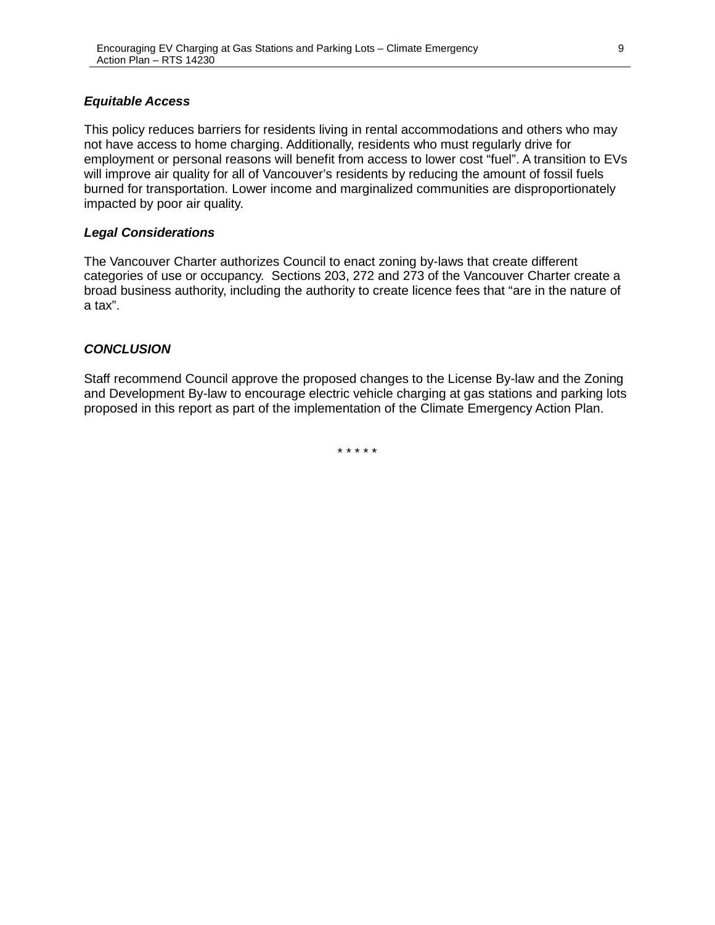### *Equitable Access*

This policy reduces barriers for residents living in rental accommodations and others who may not have access to home charging. Additionally, residents who must regularly drive for employment or personal reasons will benefit from access to lower cost "fuel". A transition to EVs will improve air quality for all of Vancouver's residents by reducing the amount of fossil fuels burned for transportation. Lower income and marginalized communities are disproportionately impacted by poor air quality.

### *Legal Considerations*

The Vancouver Charter authorizes Council to enact zoning by-laws that create different categories of use or occupancy. Sections 203, 272 and 273 of the Vancouver Charter create a broad business authority, including the authority to create licence fees that "are in the nature of a tax".

### *CONCLUSION*

Staff recommend Council approve the proposed changes to the License By-law and the Zoning and Development By-law to encourage electric vehicle charging at gas stations and parking lots proposed in this report as part of the implementation of the Climate Emergency Action Plan.

\* \* \* \* \*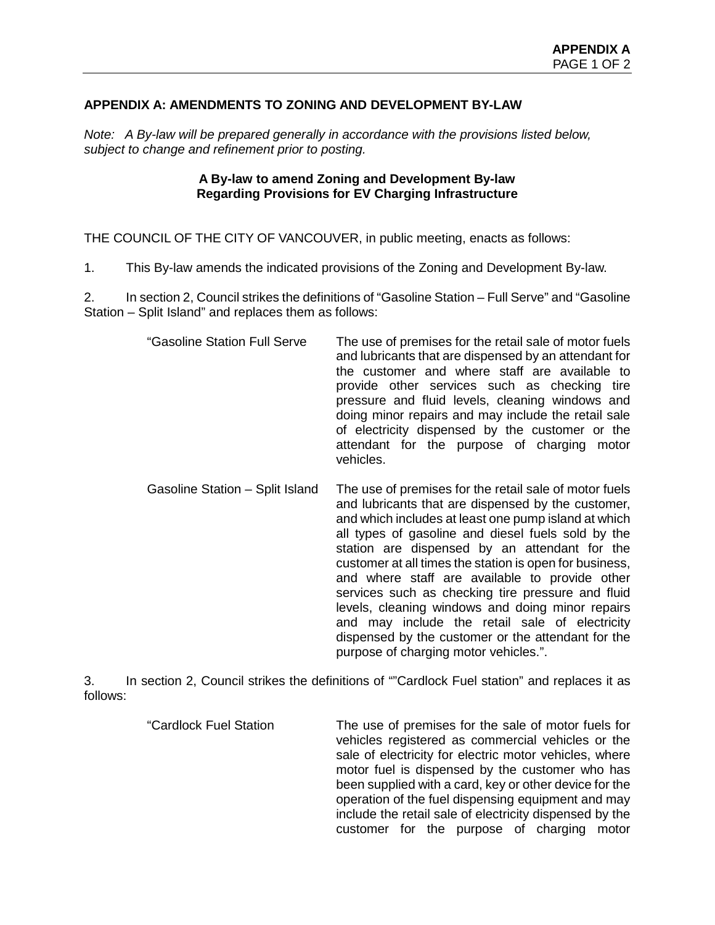## **APPENDIX A: AMENDMENTS TO ZONING AND DEVELOPMENT BY-LAW**

*Note: A By-law will be prepared generally in accordance with the provisions listed below, subject to change and refinement prior to posting.*

### **A By-law to amend Zoning and Development By-law Regarding Provisions for EV Charging Infrastructure**

THE COUNCIL OF THE CITY OF VANCOUVER, in public meeting, enacts as follows:

1. This By-law amends the indicated provisions of the Zoning and Development By-law.

2. In section 2, Council strikes the definitions of "Gasoline Station – Full Serve" and "Gasoline Station – Split Island" and replaces them as follows:

- "Gasoline Station Full Serve The use of premises for the retail sale of motor fuels and lubricants that are dispensed by an attendant for the customer and where staff are available to provide other services such as checking tire pressure and fluid levels, cleaning windows and doing minor repairs and may include the retail sale of electricity dispensed by the customer or the attendant for the purpose of charging motor vehicles.
- Gasoline Station Split Island The use of premises for the retail sale of motor fuels and lubricants that are dispensed by the customer, and which includes at least one pump island at which all types of gasoline and diesel fuels sold by the station are dispensed by an attendant for the customer at all times the station is open for business, and where staff are available to provide other services such as checking tire pressure and fluid levels, cleaning windows and doing minor repairs and may include the retail sale of electricity dispensed by the customer or the attendant for the purpose of charging motor vehicles.".

3. In section 2, Council strikes the definitions of ""Cardlock Fuel station" and replaces it as follows:

> "Cardlock Fuel Station The use of premises for the sale of motor fuels for vehicles registered as commercial vehicles or the sale of electricity for electric motor vehicles, where motor fuel is dispensed by the customer who has been supplied with a card, key or other device for the operation of the fuel dispensing equipment and may include the retail sale of electricity dispensed by the customer for the purpose of charging motor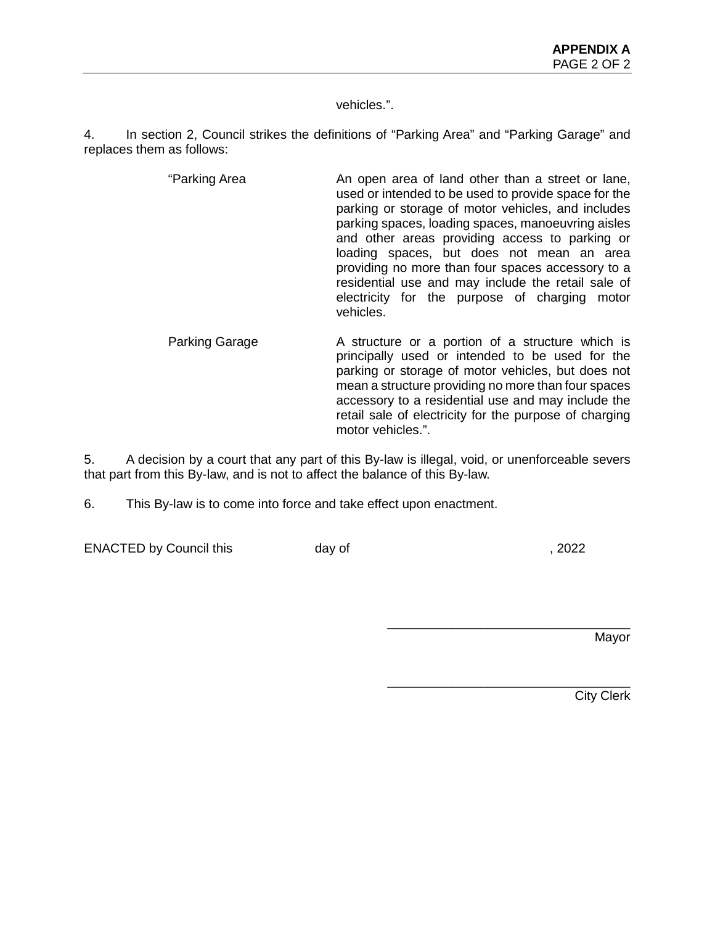vehicles.".

4. In section 2, Council strikes the definitions of "Parking Area" and "Parking Garage" and replaces them as follows:

- "Parking Area **An open area of land other than a street or lane**, used or intended to be used to provide space for the parking or storage of motor vehicles, and includes parking spaces, loading spaces, manoeuvring aisles and other areas providing access to parking or loading spaces, but does not mean an area providing no more than four spaces accessory to a residential use and may include the retail sale of electricity for the purpose of charging motor vehicles.
- Parking Garage **A** structure or a portion of a structure which is principally used or intended to be used for the parking or storage of motor vehicles, but does not mean a structure providing no more than four spaces accessory to a residential use and may include the retail sale of electricity for the purpose of charging motor vehicles.".

5. A decision by a court that any part of this By-law is illegal, void, or unenforceable severs that part from this By-law, and is not to affect the balance of this By-law.

6. This By-law is to come into force and take effect upon enactment.

ENACTED by Council this day of , 2022

\_\_\_\_\_\_\_\_\_\_\_\_\_\_\_\_\_\_\_\_\_\_\_\_\_\_\_\_\_\_\_\_\_\_

\_\_\_\_\_\_\_\_\_\_\_\_\_\_\_\_\_\_\_\_\_\_\_\_\_\_\_\_\_\_\_\_\_\_

Mayor

City Clerk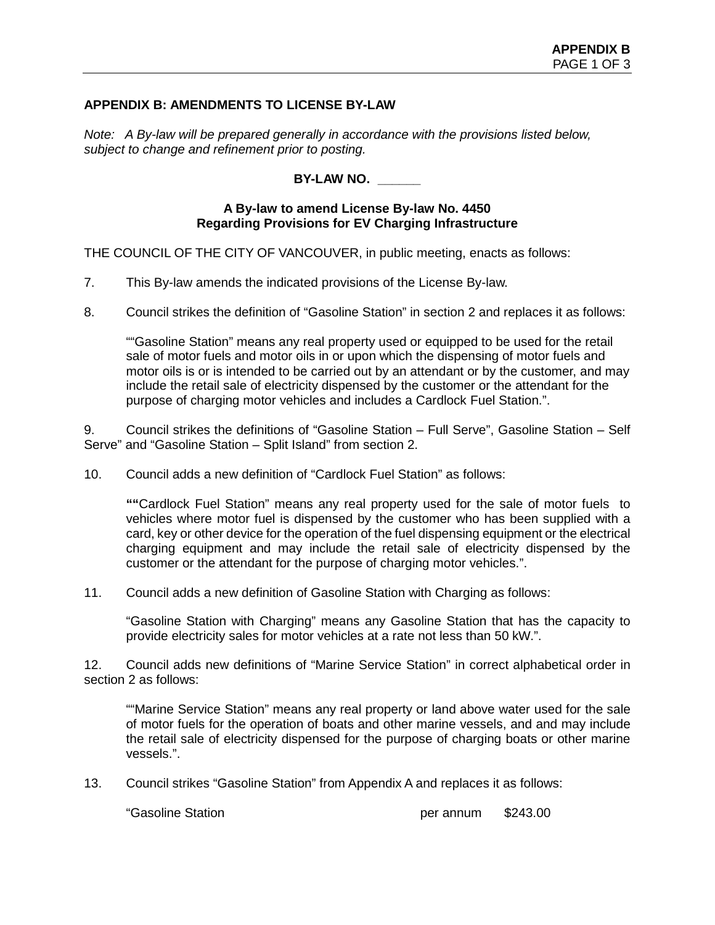### **APPENDIX B: AMENDMENTS TO LICENSE BY-LAW**

*Note: A By-law will be prepared generally in accordance with the provisions listed below, subject to change and refinement prior to posting.*

**BY-LAW NO. \_\_\_\_\_\_**

### **A By-law to amend License By-law No. 4450 Regarding Provisions for EV Charging Infrastructure**

THE COUNCIL OF THE CITY OF VANCOUVER, in public meeting, enacts as follows:

7. This By-law amends the indicated provisions of the License By-law.

8. Council strikes the definition of "Gasoline Station" in section 2 and replaces it as follows:

""Gasoline Station" means any real property used or equipped to be used for the retail sale of motor fuels and motor oils in or upon which the dispensing of motor fuels and motor oils is or is intended to be carried out by an attendant or by the customer, and may include the retail sale of electricity dispensed by the customer or the attendant for the purpose of charging motor vehicles and includes a Cardlock Fuel Station.".

9. Council strikes the definitions of "Gasoline Station – Full Serve", Gasoline Station – Self Serve" and "Gasoline Station – Split Island" from section 2.

10. Council adds a new definition of "Cardlock Fuel Station" as follows:

**""**Cardlock Fuel Station" means any real property used for the sale of motor fuels to vehicles where motor fuel is dispensed by the customer who has been supplied with a card, key or other device for the operation of the fuel dispensing equipment or the electrical charging equipment and may include the retail sale of electricity dispensed by the customer or the attendant for the purpose of charging motor vehicles.".

11. Council adds a new definition of Gasoline Station with Charging as follows:

"Gasoline Station with Charging" means any Gasoline Station that has the capacity to provide electricity sales for motor vehicles at a rate not less than 50 kW.".

12. Council adds new definitions of "Marine Service Station" in correct alphabetical order in section 2 as follows:

""Marine Service Station" means any real property or land above water used for the sale of motor fuels for the operation of boats and other marine vessels, and and may include the retail sale of electricity dispensed for the purpose of charging boats or other marine vessels.".

13. Council strikes "Gasoline Station" from Appendix A and replaces it as follows:

"Gasoline Station per annum \$243.00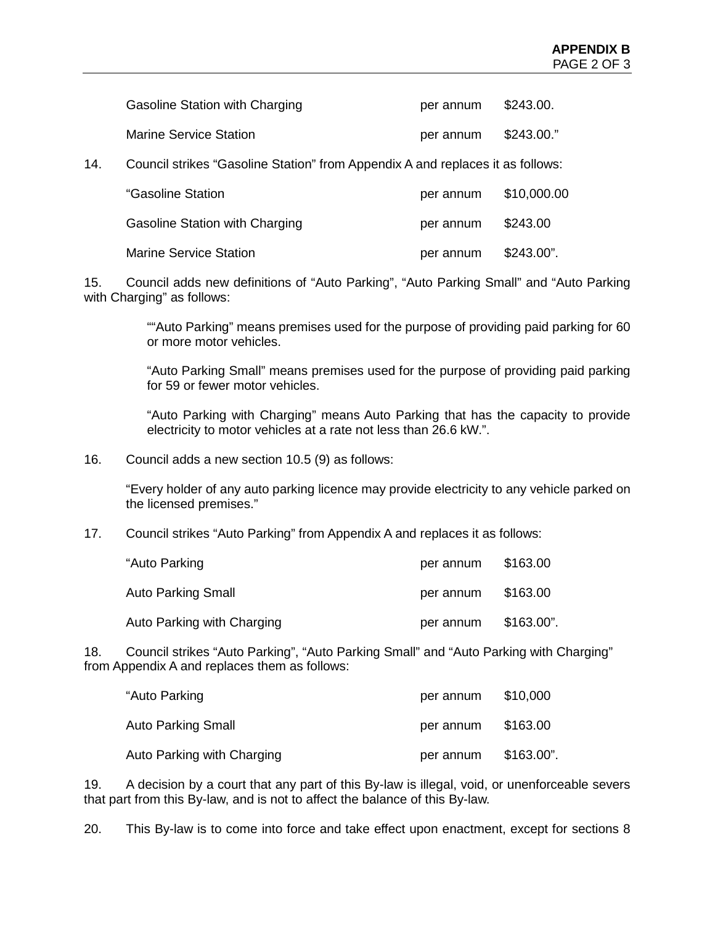|     | Gasoline Station with Charging                                                 | per annum | \$243.00.    |
|-----|--------------------------------------------------------------------------------|-----------|--------------|
|     | Marine Service Station                                                         | per annum | \$243.00."   |
| 14. | Council strikes "Gasoline Station" from Appendix A and replaces it as follows: |           |              |
|     | "Gasoline Station                                                              | per annum | \$10,000.00  |
|     | Gasoline Station with Charging                                                 | per annum | \$243.00     |
|     | <b>Marine Service Station</b>                                                  | per annum | $$243.00$ ". |

15. Council adds new definitions of "Auto Parking", "Auto Parking Small" and "Auto Parking with Charging" as follows:

> ""Auto Parking" means premises used for the purpose of providing paid parking for 60 or more motor vehicles.

> "Auto Parking Small" means premises used for the purpose of providing paid parking for 59 or fewer motor vehicles.

> "Auto Parking with Charging" means Auto Parking that has the capacity to provide electricity to motor vehicles at a rate not less than 26.6 kW.".

16. Council adds a new section 10.5 (9) as follows:

"Every holder of any auto parking licence may provide electricity to any vehicle parked on the licensed premises."

17. Council strikes "Auto Parking" from Appendix A and replaces it as follows:

| "Auto Parking              | per annum | \$163.00   |
|----------------------------|-----------|------------|
| Auto Parking Small         | per annum | \$163.00   |
| Auto Parking with Charging | per annum | \$163.00". |

18. Council strikes "Auto Parking", "Auto Parking Small" and "Auto Parking with Charging" from Appendix A and replaces them as follows:

| "Auto Parking              | per annum | \$10,000   |
|----------------------------|-----------|------------|
| Auto Parking Small         | per annum | \$163.00   |
| Auto Parking with Charging | per annum | \$163.00". |

19. A decision by a court that any part of this By-law is illegal, void, or unenforceable severs that part from this By-law, and is not to affect the balance of this By-law.

20. This By-law is to come into force and take effect upon enactment, except for sections 8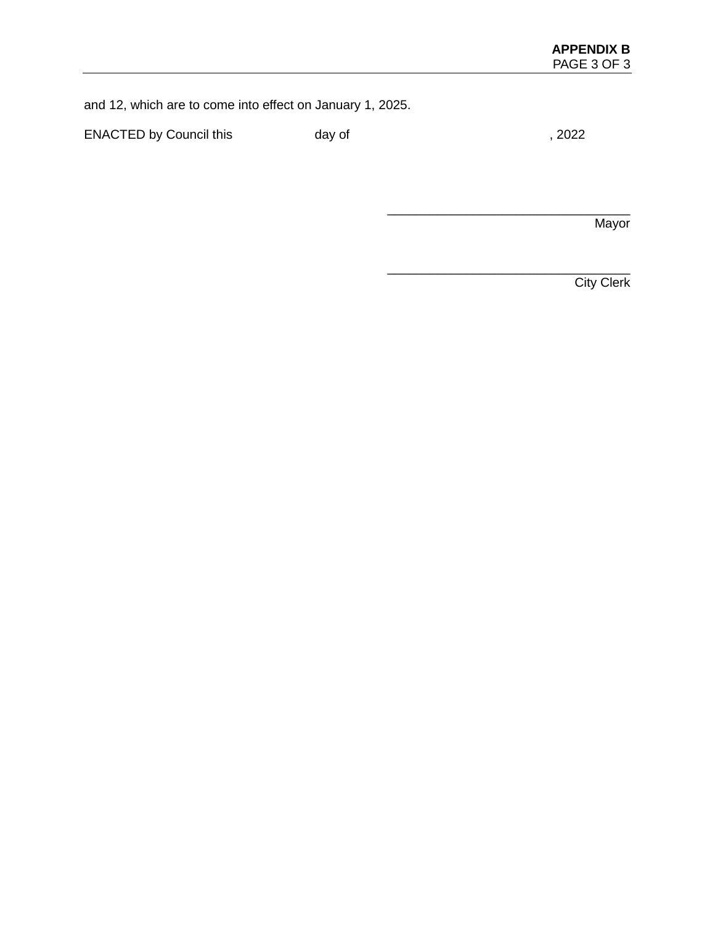and 12, which are to come into effect on January 1, 2025.

ENACTED by Council this day of  $\frac{1}{2022}$ 

**Mayor** 

\_\_\_\_\_\_\_\_\_\_\_\_\_\_\_\_\_\_\_\_\_\_\_\_\_\_\_\_\_\_\_\_\_\_

\_\_\_\_\_\_\_\_\_\_\_\_\_\_\_\_\_\_\_\_\_\_\_\_\_\_\_\_\_\_\_\_\_\_

**City Clerk**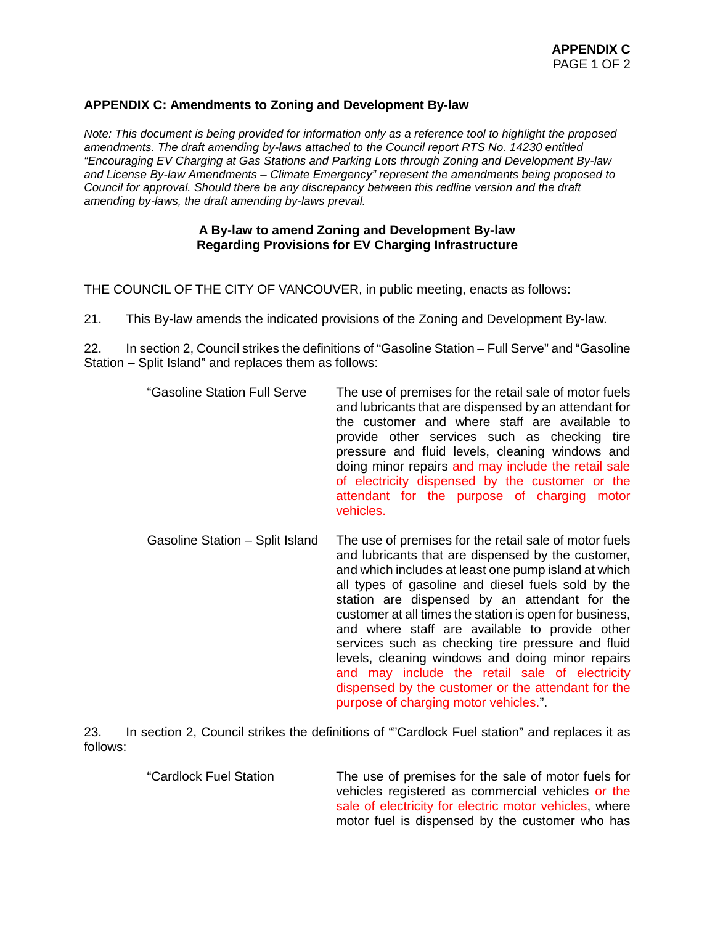## **APPENDIX C: Amendments to Zoning and Development By-law**

*Note: This document is being provided for information only as a reference tool to highlight the proposed amendments. The draft amending by-laws attached to the Council report RTS No. 14230 entitled "Encouraging EV Charging at Gas Stations and Parking Lots through Zoning and Development By-law and License By-law Amendments – Climate Emergency" represent the amendments being proposed to Council for approval. Should there be any discrepancy between this redline version and the draft amending by-laws, the draft amending by-laws prevail.*

### **A By-law to amend Zoning and Development By-law Regarding Provisions for EV Charging Infrastructure**

THE COUNCIL OF THE CITY OF VANCOUVER, in public meeting, enacts as follows:

21. This By-law amends the indicated provisions of the Zoning and Development By-law.

22. In section 2, Council strikes the definitions of "Gasoline Station – Full Serve" and "Gasoline Station – Split Island" and replaces them as follows:

Gasoline Station – Split Island The use of premises for the retail sale of motor fuels and lubricants that are dispensed by the customer, and which includes at least one pump island at which all types of gasoline and diesel fuels sold by the station are dispensed by an attendant for the customer at all times the station is open for business, and where staff are available to provide other services such as checking tire pressure and fluid levels, cleaning windows and doing minor repairs and may include the retail sale of electricity dispensed by the customer or the attendant for the purpose of charging motor vehicles.".

23. In section 2, Council strikes the definitions of ""Cardlock Fuel station" and replaces it as follows:

> "Cardlock Fuel Station The use of premises for the sale of motor fuels for vehicles registered as commercial vehicles or the sale of electricity for electric motor vehicles, where motor fuel is dispensed by the customer who has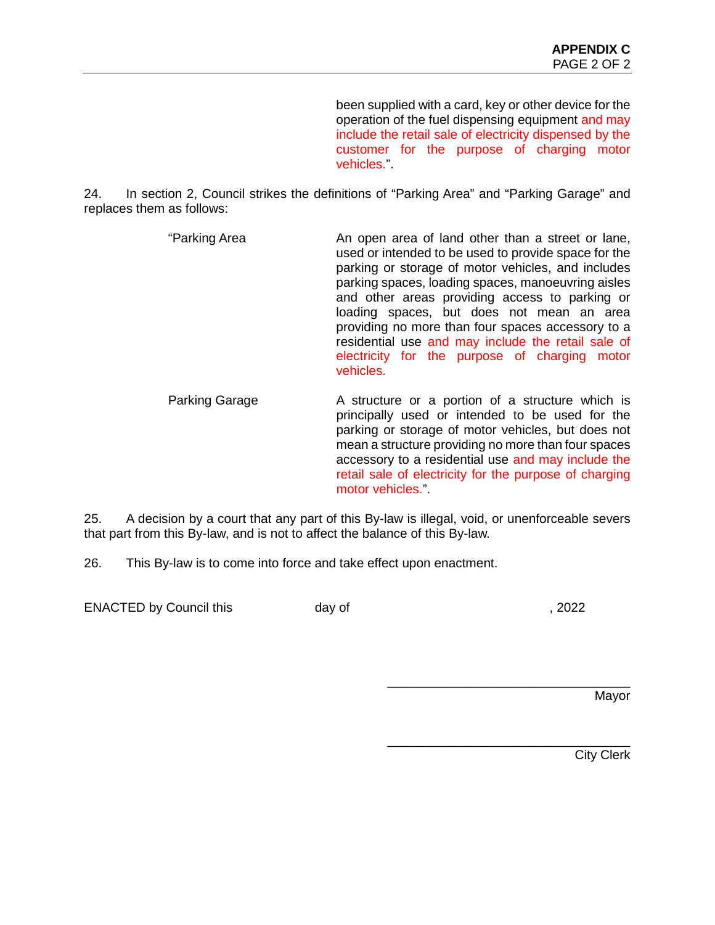been supplied with a card, key or other device for the operation of the fuel dispensing equipment and may include the retail sale of electricity dispensed by the customer for the purpose of charging motor vehicles.".

24. In section 2, Council strikes the definitions of "Parking Area" and "Parking Garage" and replaces them as follows:

- "Parking Area An open area of land other than a street or lane, used or intended to be used to provide space for the parking or storage of motor vehicles, and includes parking spaces, loading spaces, manoeuvring aisles and other areas providing access to parking or loading spaces, but does not mean an area providing no more than four spaces accessory to a residential use and may include the retail sale of electricity for the purpose of charging motor vehicles.
	- Parking Garage **A** structure or a portion of a structure which is principally used or intended to be used for the parking or storage of motor vehicles, but does not mean a structure providing no more than four spaces accessory to a residential use and may include the retail sale of electricity for the purpose of charging motor vehicles.".

25. A decision by a court that any part of this By-law is illegal, void, or unenforceable severs that part from this By-law, and is not to affect the balance of this By-law.

26. This By-law is to come into force and take effect upon enactment.

ENACTED by Council this day of the control of the control of the control of the control of the control of the control of the control of the control of the control of the control of the control of the control of the control

\_\_\_\_\_\_\_\_\_\_\_\_\_\_\_\_\_\_\_\_\_\_\_\_\_\_\_\_\_\_\_\_\_\_

Mayor

\_\_\_\_\_\_\_\_\_\_\_\_\_\_\_\_\_\_\_\_\_\_\_\_\_\_\_\_\_\_\_\_\_\_ City Clerk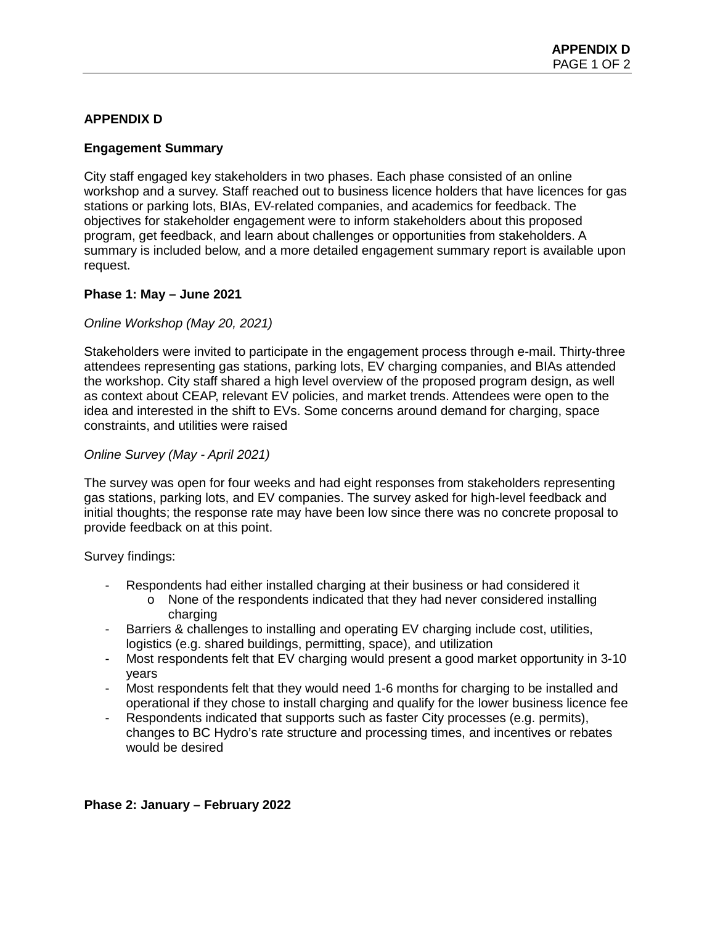# **APPENDIX D**

## **Engagement Summary**

City staff engaged key stakeholders in two phases. Each phase consisted of an online workshop and a survey. Staff reached out to business licence holders that have licences for gas stations or parking lots, BIAs, EV-related companies, and academics for feedback. The objectives for stakeholder engagement were to inform stakeholders about this proposed program, get feedback, and learn about challenges or opportunities from stakeholders. A summary is included below, and a more detailed engagement summary report is available upon request.

## **Phase 1: May – June 2021**

## *Online Workshop (May 20, 2021)*

Stakeholders were invited to participate in the engagement process through e-mail. Thirty-three attendees representing gas stations, parking lots, EV charging companies, and BIAs attended the workshop. City staff shared a high level overview of the proposed program design, as well as context about CEAP, relevant EV policies, and market trends. Attendees were open to the idea and interested in the shift to EVs. Some concerns around demand for charging, space constraints, and utilities were raised

## *Online Survey (May - April 2021)*

The survey was open for four weeks and had eight responses from stakeholders representing gas stations, parking lots, and EV companies. The survey asked for high-level feedback and initial thoughts; the response rate may have been low since there was no concrete proposal to provide feedback on at this point.

Survey findings:

- Respondents had either installed charging at their business or had considered it
	- $\circ$  None of the respondents indicated that they had never considered installing charging
- Barriers & challenges to installing and operating EV charging include cost, utilities, logistics (e.g. shared buildings, permitting, space), and utilization
- Most respondents felt that EV charging would present a good market opportunity in 3-10 years
- Most respondents felt that they would need 1-6 months for charging to be installed and operational if they chose to install charging and qualify for the lower business licence fee
- Respondents indicated that supports such as faster City processes (e.g. permits), changes to BC Hydro's rate structure and processing times, and incentives or rebates would be desired

### **Phase 2: January – February 2022**